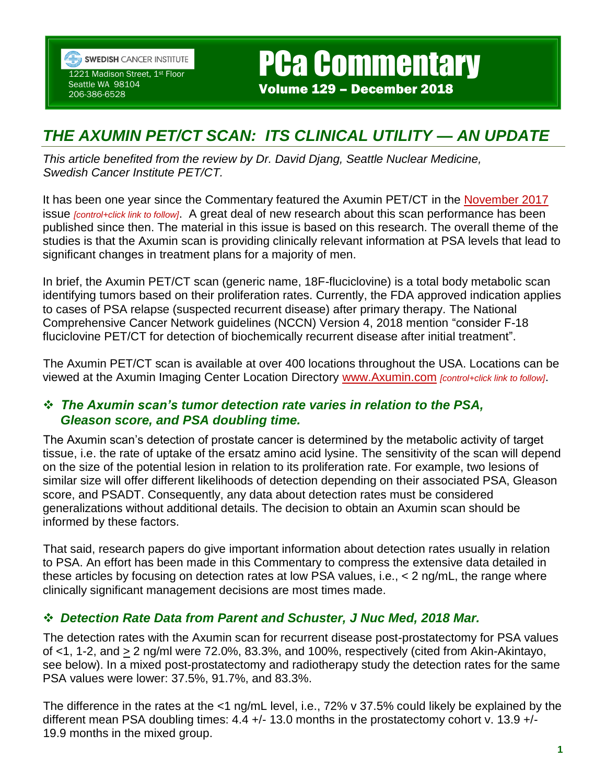

**SWEDISH CANCER INSTITUTE** 1221 Madison Street, 1st Floor

Seattle WA 98104 206-386-6528

# *THE AXUMIN PET/CT SCAN: ITS CLINICAL UTILITY — AN UPDATE*

PCa Commentary

Volume 129 – December 2018

*This article benefited from the review by Dr. David Djang, Seattle Nuclear Medicine, Swedish Cancer Institute PET/CT.*

It has been one year since the Commentary featured the Axumin PET/CT in the [November 2017](https://prostatecancerfree.org/pca-commentary-116-axumin-scan-prostate-cancer-increasing-availability-throughout-us-available-swedish-medical-center-october/) issue *[control+click link to follow]*. A great deal of new research about this scan performance has been published since then. The material in this issue is based on this research. The overall theme of the studies is that the Axumin scan is providing clinically relevant information at PSA levels that lead to significant changes in treatment plans for a majority of men.

In brief, the Axumin PET/CT scan (generic name, 18F-fluciclovine) is a total body metabolic scan identifying tumors based on their proliferation rates. Currently, the FDA approved indication applies to cases of PSA relapse (suspected recurrent disease) after primary therapy. The National Comprehensive Cancer Network guidelines (NCCN) Version 4, 2018 mention "consider F-18 fluciclovine PET/CT for detection of biochemically recurrent disease after initial treatment".

The Axumin PET/CT scan is available at over 400 locations throughout the USA. Locations can be viewed at the Axumin Imaging Center Location Directory [www.Axumin.com](https://urldefense.proofpoint.com/v2/url?u=http-3A__www.Axumin.com&d=DwMFaQ&c=KoC5GYBOIefzxGAm2j6cjFf-Gz7ANghQIP9aFG9DuBs&r=9H6SmM41daEyEk6tR8z-em-n6iEYI8iB-wIlN9gQ84M&m=1aGETEArnlLclOeUNQqEd3aCCG81kKq1VH_XbnjUMy4&s=OQjMgady9fHfwDPvRsrUqRQEmlAL_VG8REGG_qgCIv8&e=) *[control+click link to follow]*.

#### *The Axumin scan's tumor detection rate varies in relation to the PSA, Gleason score, and PSA doubling time.*

The Axumin scan's detection of prostate cancer is determined by the metabolic activity of target tissue, i.e. the rate of uptake of the ersatz amino acid lysine. The sensitivity of the scan will depend on the size of the potential lesion in relation to its proliferation rate. For example, two lesions of similar size will offer different likelihoods of detection depending on their associated PSA, Gleason score, and PSADT. Consequently, any data about detection rates must be considered generalizations without additional details. The decision to obtain an Axumin scan should be informed by these factors.

That said, research papers do give important information about detection rates usually in relation to PSA. An effort has been made in this Commentary to compress the extensive data detailed in these articles by focusing on detection rates at low PSA values, i.e., < 2 ng/mL, the range where clinically significant management decisions are most times made.

# *Detection Rate Data from Parent and Schuster, J Nuc Med, 2018 Mar.*

The detection rates with the Axumin scan for recurrent disease post-prostatectomy for PSA values of  $\langle$  1, 1-2, and  $\geq$  2 ng/ml were 72.0%, 83.3%, and 100%, respectively (cited from Akin-Akintayo, see below). In a mixed post-prostatectomy and radiotherapy study the detection rates for the same PSA values were lower: 37.5%, 91.7%, and 83.3%.

The difference in the rates at the <1 ng/mL level, i.e., 72% v 37.5% could likely be explained by the different mean PSA doubling times: 4.4 +/- 13.0 months in the prostatectomy cohort v. 13.9 +/-19.9 months in the mixed group.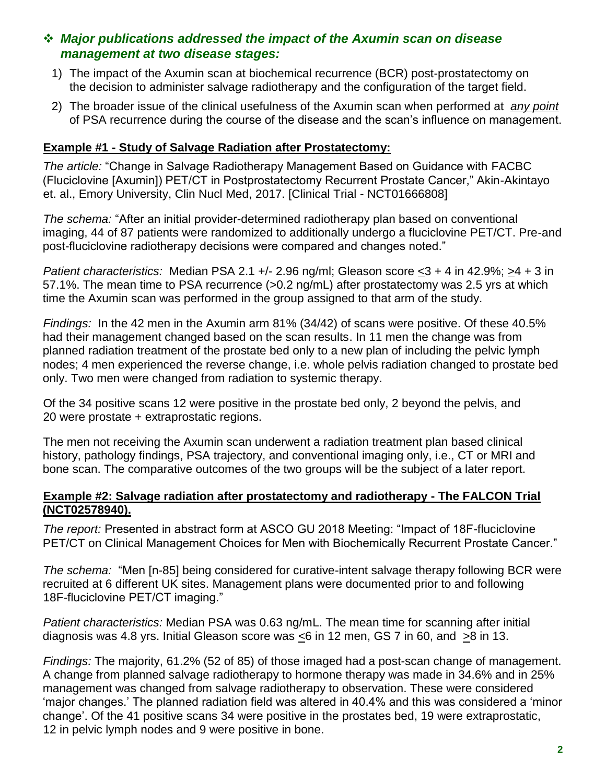## *Major publications addressed the impact of the Axumin scan on disease management at two disease stages:*

- 1) The impact of the Axumin scan at biochemical recurrence (BCR) post-prostatectomy on the decision to administer salvage radiotherapy and the configuration of the target field.
- 2) The broader issue of the clinical usefulness of the Axumin scan when performed at *any point*  of PSA recurrence during the course of the disease and the scan's influence on management.

## **Example #1 - Study of Salvage Radiation after Prostatectomy:**

*The article:* "Change in Salvage Radiotherapy Management Based on Guidance with FACBC (Fluciclovine [Axumin]) PET/CT in Postprostatectomy Recurrent Prostate Cancer," Akin-Akintayo et. al., Emory University, Clin Nucl Med, 2017. [Clinical Trial - NCT01666808]

*The schema:* "After an initial provider-determined radiotherapy plan based on conventional imaging, 44 of 87 patients were randomized to additionally undergo a fluciclovine PET/CT. Pre-and post-fluciclovine radiotherapy decisions were compared and changes noted."

*Patient characteristics:* Median PSA 2.1 +/- 2.96 ng/ml; Gleason score <3 + 4 in 42.9%; >4 + 3 in 57.1%. The mean time to PSA recurrence (>0.2 ng/mL) after prostatectomy was 2.5 yrs at which time the Axumin scan was performed in the group assigned to that arm of the study.

*Findings:* In the 42 men in the Axumin arm 81% (34/42) of scans were positive. Of these 40.5% had their management changed based on the scan results. In 11 men the change was from planned radiation treatment of the prostate bed only to a new plan of including the pelvic lymph nodes; 4 men experienced the reverse change, i.e. whole pelvis radiation changed to prostate bed only. Two men were changed from radiation to systemic therapy.

Of the 34 positive scans 12 were positive in the prostate bed only, 2 beyond the pelvis, and 20 were prostate + extraprostatic regions.

The men not receiving the Axumin scan underwent a radiation treatment plan based clinical history, pathology findings, PSA trajectory, and conventional imaging only, i.e., CT or MRI and bone scan. The comparative outcomes of the two groups will be the subject of a later report.

#### **Example #2: Salvage radiation after prostatectomy and radiotherapy - The FALCON Trial (NCT02578940).**

*The report:* Presented in abstract form at ASCO GU 2018 Meeting: "Impact of 18F-fluciclovine PET/CT on Clinical Management Choices for Men with Biochemically Recurrent Prostate Cancer."

*The schema:* "Men [n-85] being considered for curative-intent salvage therapy following BCR were recruited at 6 different UK sites. Management plans were documented prior to and following 18F-fluciclovine PET/CT imaging."

*Patient characteristics:* Median PSA was 0.63 ng/mL. The mean time for scanning after initial diagnosis was 4.8 yrs. Initial Gleason score was <6 in 12 men, GS 7 in 60, and >8 in 13.

*Findings:* The majority, 61.2% (52 of 85) of those imaged had a post-scan change of management. A change from planned salvage radiotherapy to hormone therapy was made in 34.6% and in 25% management was changed from salvage radiotherapy to observation. These were considered 'major changes.' The planned radiation field was altered in 40.4% and this was considered a 'minor change'. Of the 41 positive scans 34 were positive in the prostates bed, 19 were extraprostatic, 12 in pelvic lymph nodes and 9 were positive in bone.